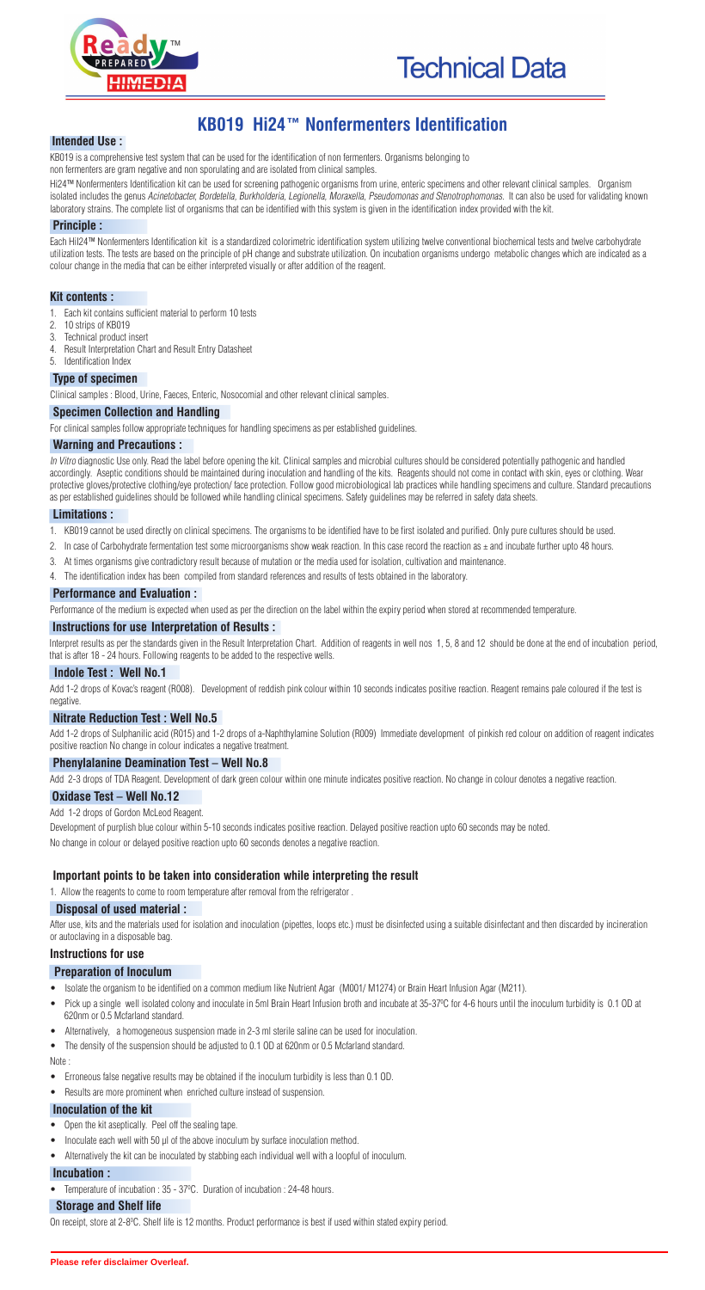



# **KB019 Hi24™ Nonfermenters Identification**

#### **Intended Use :**

KB019 is a comprehensive test system that can be used for the identification of non fermenters. Organisms belonging to

non fermenters are gram negative and non sporulating and are isolated from clinical samples.

Hi24™ Nonfermenters Identification kit can be used for screening pathogenic organisms from urine, enteric specimens and other relevant clinical samples. Organism isolated includes the genus Acinetobacter, Bordetella, Burkholderia, Legionella, Moraxella, Pseudomonas and Stenotrophomonas. It can also be used for validating known laboratory strains. The complete list of organisms that can be identified with this system is given in the identification index provided with the kit.

#### **Principle :**

Each HiI24™ Nonfermenters Identification kit is a standardized colorimetric identification system utilizing twelve conventional biochemical tests and twelve carbohydrate utilization tests. The tests are based on the principle of pH change and substrate utilization. On incubation organisms undergo metabolic changes which are indicated as a colour change in the media that can be either interpreted visually or after addition of the reagent.

In Vitro diagnostic Use only. Read the label before opening the kit. Clinical samples and microbial cultures should be considered potentially pathogenic and handled accordingly. Aseptic conditions should be maintained during inoculation and handling of the kits. Reagents should not come in contact with skin, eyes or clothing. Wear protective gloves/protective clothing/eye protection/ face protection. Follow good microbiological lab practices while handling specimens and culture. Standard precautions as per established guidelines should be followed while handling clinical specimens. Safety guidelines may be referred in safety data sheets.

#### **Kit contents :**

- 1. Each kit contains sufficient material to perform 10 tests
- 2. 10 strips of KB019
- 3. Technical product insert
- 4. Result Interpretation Chart and Result Entry Datasheet
- 5. Identification Index

#### **Type of specimen**

Clinical samples : Blood, Urine, Faeces, Enteric, Nosocomial and other relevant clinical samples.

#### **Specimen Collection and Handling**

For clinical samples follow appropriate techniques for handling specimens as per established guidelines.

#### **Warning and Precautions :**

Development of purplish blue colour within 5-10 seconds indicates positive reaction. Delayed positive reaction upto 60 seconds may be noted. No change in colour or delayed positive reaction upto 60 seconds denotes a negative reaction.

#### **Limitations :**

- 1. KB019 cannot be used directly on clinical specimens. The organisms to be identified have to be first isolated and purified. Only pure cultures should be used.
- 2. In case of Carbohydrate fermentation test some microorganisms show weak reaction. In this case record the reaction as  $\pm$  and incubate further upto 48 hours.
- 3. At times organisms give contradictory result because of mutation or the media used for isolation, cultivation and maintenance.
- 4. The identification index has been compiled from standard references and results of tests obtained in the laboratory.

#### **Performance and Evaluation :**

Performance of the medium is expected when used as per the direction on the label within the expiry period when stored at recommended temperature.

#### **Instructions for use Interpretation of Results :**

Interpret results as per the standards given in the Result Interpretation Chart. Addition of reagents in well nos 1, 5, 8 and 12 should be done at the end of incubation period, that is after 18 - 24 hours. Following reagents to be added to the respective wells.

#### **Indole Test : Well No.1**

Add 1-2 drops of Kovac's reagent (R008). Development of reddish pink colour within 10 seconds indicates positive reaction. Reagent remains pale coloured if the test is negative.

## **Nitrate Reduction Test : Well No.5**

Add 1-2 drops of Sulphanilic acid (R015) and 1-2 drops of a-Naphthylamine Solution (R009) Immediate development of pinkish red colour on addition of reagent indicates positive reaction No change in colour indicates a negative treatment.

#### **Phenylalanine Deamination Test – Well No.8**

Add 2-3 drops of TDA Reagent. Development of dark green colour within one minute indicates positive reaction. No change in colour denotes a negative reaction.

#### **Oxidase Test – Well No.12**

Add 1-2 drops of Gordon McLeod Reagent.

## **Important points to be taken into consideration while interpreting the result**

1. Allow the reagents to come to room temperature after removal from the refrigerator.

#### **Disposal of used material :**

After use, kits and the materials used for isolation and inoculation (pipettes, loops etc.) must be disinfected using a suitable disinfectant and then discarded by incineration or autoclaving in a disposable bag.

## **Instructions for use**

## **Preparation of Inoculum**

- · Isolate the organism to be identified on a common medium like Nutrient Agar (M001/ M1274) or Brain Heart Infusion Agar (M211).
- Pick up a single well isolated colony and inoculate in 5ml Brain Heart Infusion broth and incubate at 35-37°C for 4-6 hours until the inoculum turbidity is 0.1 OD at
- 620nm or 0.5 Mcfarland standard.
- Alternatively, a homogeneous suspension made in 2-3 ml sterile saline can be used for inoculation.
- The density of the suspension should be adjusted to 0.1 OD at 620nm or 0.5 Mcfarland standard. Note :
- · Erroneous false negative results may be obtained if the inoculum turbidity is less than 0.1 OD.
- · Results are more prominent when enriched culture instead of suspension.

# **Inoculation of the kit**

- · Open the kit aseptically. Peel off the sealing tape.
- Inoculate each well with 50 µl of the above inoculum by surface inoculation method.
- · Alternatively the kit can be inoculated by stabbing each individual well with a loopful of inoculum.

## **Incubation :**

• Temperature of incubation : 35 - 37°C. Duration of incubation : 24-48 hours.

## **Storage and Shelf life**

On receipt, store at 2-8<sup>o</sup>C. Shelf life is 12 months. Product performance is best if used within stated expiry period.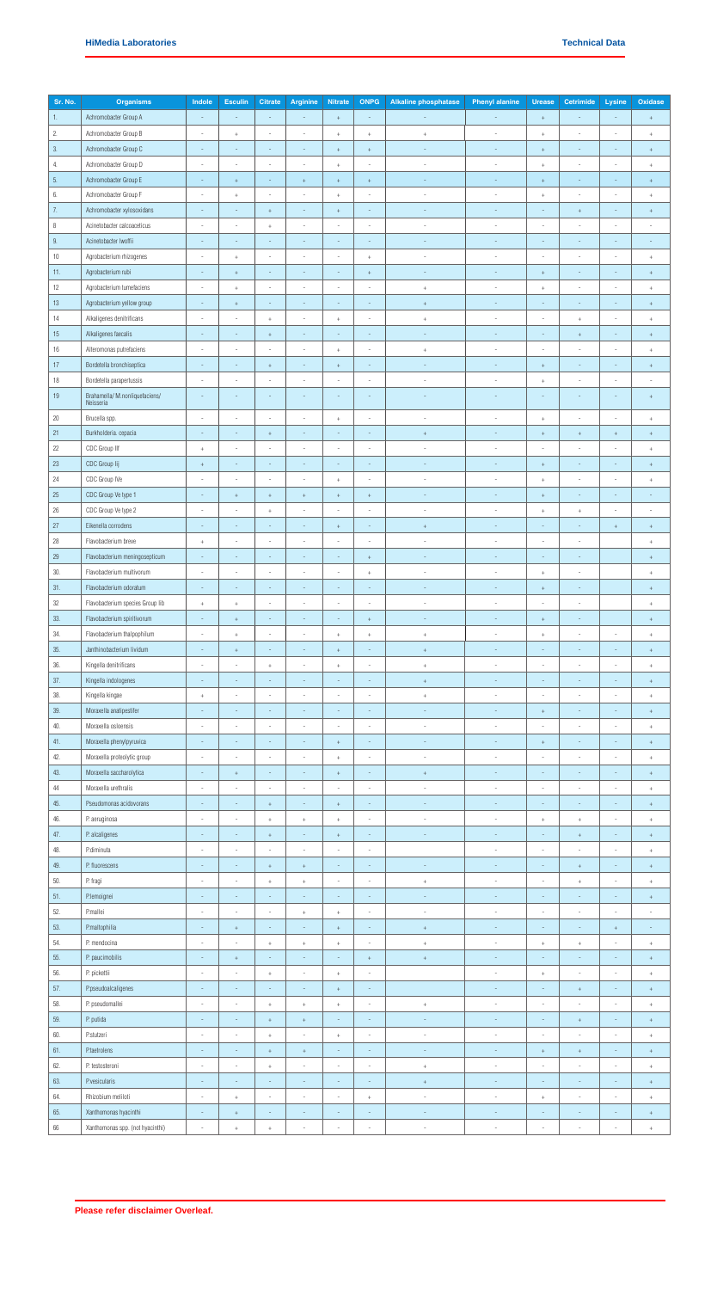| Sr. No. | <b>Organisms</b>                            | Indole                   | <b>Esculin</b>                   | <b>Citrate</b>                   | <b>Arginine</b>                  | <b>Nitrate</b>                   | <b>ONPG</b>              | <b>Alkaline phosphatase</b>      | <b>Phenyl alanine</b>    | <b>Urease</b>            | Cetrimide                        | Lysine                           | Oxidase                          |
|---------|---------------------------------------------|--------------------------|----------------------------------|----------------------------------|----------------------------------|----------------------------------|--------------------------|----------------------------------|--------------------------|--------------------------|----------------------------------|----------------------------------|----------------------------------|
| 1.      | Achromobacter Group A                       |                          |                                  | ÷,                               |                                  | $\pm$                            | $\overline{\phantom{a}}$ |                                  |                          | $^{\mathrm{+}}$          |                                  | $\overline{\phantom{a}}$         | $\pm$                            |
| 2.      | Achromobacter Group B                       |                          | $\ddot{}$                        |                                  |                                  |                                  |                          |                                  |                          |                          |                                  |                                  |                                  |
|         |                                             |                          |                                  |                                  |                                  | $\,$ +                           | $^{\mathrm{+}}$          | $^+$                             |                          | $^{\mathrm{+}}$          |                                  |                                  | $^+$                             |
| 3.      | Achromobacter Group C                       | $\overline{\phantom{a}}$ | $\overline{\phantom{a}}$         | $\overline{\phantom{a}}$         | $\overline{\phantom{a}}$         | $\pm$                            | $\boldsymbol{+}$         | $\overline{\phantom{a}}$         | $\overline{\phantom{a}}$ | $^{\mathrm{+}}$          | $\overline{\phantom{a}}$         | $\sim$                           | $^+$                             |
| 4.      | Achromobacter Group D                       | $\overline{\phantom{a}}$ | i,                               | ×,                               |                                  | $^{\mathrm{+}}$                  | $\overline{\phantom{a}}$ | $\overline{\phantom{a}}$         | ÷                        | $^{\mathrm{+}}$          | $\overline{\phantom{m}}$         | $\overline{\phantom{a}}$         | $^+$                             |
| 5.      | Achromobacter Group E                       | $\sim$                   | $+$                              | $\overline{\phantom{a}}$         | $+$                              | $\pm$                            | $\pm$                    | i.                               | i.                       | $\pm$                    | $\overline{\phantom{a}}$         | $\overline{\phantom{a}}$         | $\pm$                            |
| 6.      | Achromobacter Group F                       | ÷                        | $\ddot{}$                        | $\overline{\phantom{a}}$         | $\overline{\phantom{a}}$         | $\!+$                            | $\overline{\phantom{a}}$ | J,                               | J,                       | $\,$ +                   | $\overline{\phantom{a}}$         | $\overline{\phantom{a}}$         | $^+$                             |
| 7.      | Achromobacter xylosoxidans                  |                          |                                  | $\ddot{}$                        | $\sim$                           | $\pm$                            | ÷,                       | $\overline{\phantom{a}}$         | ÷,                       |                          | $\ddot{}$                        | $\sim$                           | $^+$                             |
| 8       | Acinetobacter calcoaceticus                 | $\overline{\phantom{a}}$ | $\overline{\phantom{a}}$         | $+$                              | $\overline{\phantom{a}}$         | $\overline{\phantom{a}}$         | $\overline{\phantom{a}}$ | $\overline{\phantom{a}}$         | $\overline{\phantom{a}}$ | $\overline{\phantom{a}}$ | $\overline{\phantom{a}}$         | $\overline{\phantom{a}}$         | $\overline{\phantom{a}}$         |
| 9.      | Acinetobacter Iwoffii                       | $\overline{\phantom{a}}$ |                                  |                                  |                                  | $\overline{\phantom{m}}$         | $\overline{\phantom{m}}$ |                                  |                          | $\overline{\phantom{a}}$ | $\overline{\phantom{m}}$         | $\overline{\phantom{a}}$         | $\overline{\phantom{a}}$         |
| $10$    | Agrobacterium rhizogenes                    | $\overline{\phantom{a}}$ | $\! + \!\!\!\!$                  | $\sim$                           | $\overline{\phantom{a}}$         | $\overline{\phantom{a}}$         | $^{\mathrm{+}}$          | $\overline{\phantom{a}}$         | $\overline{\phantom{a}}$ | $\overline{\phantom{a}}$ | $\overline{a}$                   | $\sim$                           | $^+$                             |
|         |                                             |                          |                                  |                                  |                                  |                                  |                          |                                  |                          |                          |                                  |                                  |                                  |
| 11.     | Agrobacterium rubi                          | $\sim$                   | $\color{red}{+}$                 | $\overline{\phantom{a}}$         |                                  | $\sim$                           | $\pm$                    | $\sim$                           | ×,                       | $^{\mathrm{+}}$          | $\overline{\phantom{a}}$         | $\overline{\phantom{a}}$         | $^+$                             |
| 12      | Agrobacterium tumefaciens                   |                          | $\ddot{}$                        | ×,                               |                                  | i,                               |                          | $^+$                             | i,                       | $^+$                     | i,                               | $\overline{\phantom{a}}$         | $\ddot{}$                        |
| $13\,$  | Agrobacterium yellow group                  | $\overline{\phantom{a}}$ | $^+$                             | $\overline{\phantom{a}}$         | $\overline{\phantom{a}}$         | $\sim$                           | $\overline{\phantom{a}}$ | $^+$                             | $\overline{\phantom{a}}$ | $\overline{\phantom{a}}$ | $\overline{\phantom{a}}$         | $\sim$                           | $^+$                             |
| 14      | Alkaligenes denitrificans                   |                          |                                  | $\ddot{}$                        |                                  | $\,$ +                           |                          | $^+$                             |                          |                          | $\ddot{}$                        | $\overline{\phantom{a}}$         | $^+$                             |
| 15      | Alkaligenes faecalis                        | $\sim$                   | $\overline{\phantom{a}}$         | $\begin{array}{c} + \end{array}$ | $\sim$                           | $\overline{\phantom{a}}$         | $\overline{\phantom{a}}$ | $\sim$                           | $\overline{\phantom{a}}$ | $\sim$                   | $\begin{array}{c} + \end{array}$ | $\overline{\phantom{a}}$         | $\pm$                            |
| 16      | Alteromonas putrefaciens                    | ×,                       | ×,                               | ×,                               | $\sim$                           | $^{\mathrm{+}}$                  | $\sim$                   | $^+$                             | ٠                        | $\overline{\phantom{a}}$ | ×,                               | $\overline{\phantom{a}}$         | $\begin{array}{c} + \end{array}$ |
| 17      | Bordetella bronchiseptica                   | $\overline{\phantom{a}}$ | $\overline{\phantom{a}}$         | $\begin{array}{c} + \end{array}$ | $\sim$                           | $^+$                             | $\overline{\phantom{a}}$ | $\sim$                           | ×,                       | $\,$ +                   | $\overline{\phantom{a}}$         | $\overline{\phantom{a}}$         | $^+$                             |
| 18      | Bordetella parapertussis                    | $\overline{\phantom{a}}$ | $\frac{1}{2}$                    | i,                               | $\overline{\phantom{a}}$         | $\overline{\phantom{a}}$         | $\overline{\phantom{a}}$ | $\overline{\phantom{a}}$         | $\overline{\phantom{a}}$ | $^+$                     | $\overline{\phantom{a}}$         | $\overline{\phantom{a}}$         | $\overline{\phantom{a}}$         |
|         |                                             |                          |                                  |                                  |                                  |                                  |                          |                                  |                          |                          |                                  |                                  |                                  |
| 19      | Brahamella/ M.nonliquefaciens/<br>Neisseria |                          |                                  |                                  |                                  |                                  |                          |                                  |                          |                          |                                  |                                  | $\boldsymbol{+}$                 |
| $20\,$  | Brucella spp.                               | $\overline{\phantom{a}}$ | $\overline{\phantom{a}}$         | $\overline{\phantom{a}}$         | $\sim$                           | $^+$                             | $\sim$                   | $\sim$                           | J,                       | $^{\mathrm{+}}$          | $\overline{a}$                   | $\sim$                           | $^+$                             |
| 21      | Burkholderia. cepacia                       | $\overline{\phantom{a}}$ | $\overline{\phantom{a}}$         | $\begin{array}{c} + \end{array}$ | $\overline{\phantom{a}}$         | $\bar{ }$                        | $\overline{\phantom{a}}$ | $\pm$                            | ÷                        | $\,$ + $\,$              | $^{+}$                           | $\begin{array}{c} + \end{array}$ | $^+$                             |
| 22      | CDC Group IIf                               | $^{\mathrm{+}}$          | ×,                               | $\overline{\phantom{a}}$         | $\sim$                           | $\overline{\phantom{a}}$         | $\overline{\phantom{a}}$ | $\sim$                           | ×,                       | ×,                       | ×,                               | $\overline{\phantom{a}}$         | $^+$                             |
| 23      | CDC Group lij                               |                          | $\overline{\phantom{a}}$         | $\overline{\phantom{a}}$         | $\overline{\phantom{a}}$         | $\overline{\phantom{a}}$         |                          | $\overline{\phantom{a}}$         | $\overline{a}$           |                          |                                  |                                  |                                  |
|         |                                             | $^{\mathrm{+}}$          |                                  |                                  |                                  |                                  | $\overline{\phantom{a}}$ |                                  |                          | $^{\mathrm{+}}$          | $\overline{\phantom{a}}$         | $\sim$                           | $^+$                             |
| 24      | CDC Group IVe                               |                          |                                  |                                  |                                  | $\,$ +                           | $\overline{\phantom{a}}$ | ÷,                               | ×,                       | $\,$ +                   | ×,                               | $\overline{\phantom{a}}$         | $\ddot{}$                        |
| $25\,$  | CDC Group Ve type 1                         | $\overline{\phantom{a}}$ | $\pm$                            | $\boldsymbol{+}$                 | $\!+$                            | $\pm$                            | $\,$ +                   | $\overline{\phantom{a}}$         | $\overline{\phantom{a}}$ | $\pm$                    | $\overline{\phantom{a}}$         | $\overline{\phantom{a}}$         | $\overline{\phantom{a}}$         |
| 26      | CDC Group Ve type 2                         |                          |                                  | $\ddot{}$                        |                                  |                                  |                          | i,                               |                          | $^+$                     | $\ddot{}$                        | $\overline{\phantom{a}}$         | ×,                               |
| 27      | Eikenella corrodens                         | $\overline{\phantom{a}}$ | $\overline{\phantom{a}}$         | $\overline{\phantom{a}}$         | $\overline{\phantom{a}}$         | $\pm$                            | $\overline{\phantom{a}}$ | $^+$                             | $\overline{\phantom{a}}$ | $\overline{\phantom{a}}$ | $\overline{\phantom{a}}$         | $^+$                             | $^+$                             |
| 28      | Flavobacterium breve                        | $^+$                     | $\overline{\phantom{a}}$         | $\overline{\phantom{a}}$         | $\sim$                           | ×,                               | $\overline{\phantom{a}}$ | $\sim$                           | ٠                        | $\overline{\phantom{a}}$ | $\overline{a}$                   |                                  | $\begin{array}{c} + \end{array}$ |
| 29      | Flavobacterium meningosepticum              |                          |                                  |                                  |                                  | ÷,                               | $\!+$                    |                                  |                          |                          | ÷,                               |                                  | $\ddot{}$                        |
| 30.     | Flavobacterium multivorum                   | $\overline{\phantom{a}}$ | $\overline{\phantom{a}}$         | $\overline{\phantom{a}}$         | $\overline{\phantom{a}}$         | $\overline{\phantom{a}}$         | $^{\mathrm{+}}$          | $\overline{\phantom{a}}$         | $\overline{\phantom{a}}$ | $^{\mathrm{+}}$          | $\overline{\phantom{a}}$         |                                  | $^+$                             |
| 31.     | Flavobacterium odoratum                     |                          |                                  |                                  |                                  |                                  |                          |                                  |                          |                          |                                  |                                  |                                  |
|         |                                             |                          |                                  |                                  |                                  |                                  |                          |                                  |                          | $\boldsymbol{+}$         |                                  |                                  | $\ddot{}$                        |
| 32      | Flavobacterium species Group lib            | $\overline{+}$           | $\ddot{}$                        |                                  |                                  |                                  |                          |                                  |                          |                          |                                  |                                  | $\overline{+}$                   |
| 33.     | Flavobacterium spiritivorum                 | $\overline{a}$           | $\begin{array}{c} + \end{array}$ | $\overline{\phantom{a}}$         |                                  | $\overline{\phantom{a}}$         | $^{\mathrm{+}}$          | $\overline{\phantom{a}}$         |                          | $^{\mathrm{+}}$          | ÷,                               |                                  | $\pm$                            |
| 34.     | Flavobacterium thalpophilum                 |                          | $\ddot{}$                        | ×,                               |                                  | $\begin{array}{c} + \end{array}$ | $\!+$                    | $^+$                             | J.                       | $^+$                     | ٠                                | $\sim$                           | $\begin{array}{c} + \end{array}$ |
| 35.     | Janthinobacterium lividum                   | $\overline{\phantom{a}}$ | $\pm$                            | $\overline{\phantom{a}}$         | $\overline{\phantom{a}}$         | $\pm$                            | $\overline{\phantom{a}}$ | $\pm$                            | $\overline{a}$           | $\overline{\phantom{a}}$ | $\overline{\phantom{a}}$         | $\sim$                           | $\pm$                            |
| 36.     | Kingella denitrificans                      |                          |                                  | $\ddot{}$                        |                                  | $^{\mathrm{+}}$                  |                          | $^+$                             |                          |                          |                                  |                                  | $^+$                             |
| 37.     | Kingella indologenes                        | $\overline{\phantom{a}}$ | $\overline{\phantom{a}}$         | $\overline{\phantom{a}}$         | $\overline{\phantom{a}}$         | $\overline{\phantom{a}}$         | $\overline{\phantom{a}}$ | $\pm$                            | $\overline{\phantom{a}}$ | $\overline{\phantom{a}}$ | $\overline{\phantom{a}}$         | $\overline{\phantom{a}}$         | $\begin{array}{c} + \end{array}$ |
| 38.     | Kingella kingae                             | $\! + \!\!\!\!$          |                                  |                                  |                                  |                                  |                          | $^+$                             |                          | $\overline{\phantom{a}}$ | ×,                               | $\overline{\phantom{a}}$         | $^+$                             |
| 39.     | Moraxella anatipestifer                     | $\overline{\phantom{a}}$ | ÷,                               | $\overline{\phantom{a}}$         | $\sim$                           | $\sim$                           | $\sim$                   | ×,                               | J.                       | $\,$ +                   | $\overline{\phantom{a}}$         | $\overline{\phantom{a}}$         | $\boldsymbol{+}$                 |
|         |                                             |                          |                                  |                                  |                                  |                                  |                          |                                  |                          |                          |                                  |                                  |                                  |
| 40.     | Moraxella osloensis                         |                          | $\frac{1}{2}$                    | $\overline{\phantom{m}}$         |                                  | $\overline{\phantom{a}}$         | $\overline{\phantom{a}}$ | i,                               | ł                        | $\overline{\phantom{a}}$ | $\frac{1}{2}$                    | $\overline{\phantom{a}}$         | $^+$                             |
| 41.     | Moraxella phenylpyruvica                    |                          |                                  |                                  |                                  | $\pm$                            |                          | ÷,                               |                          | $^{\mathrm{+}}$          | $\frac{1}{2}$                    | $\overline{\phantom{a}}$         | $^+$                             |
| 42.     | Moraxella proteolytic group                 | $\overline{\phantom{a}}$ | ×,                               | i,                               |                                  | $\pm$                            | $\overline{\phantom{a}}$ | i,                               | i,                       | $\overline{\phantom{a}}$ | i,                               | $\overline{\phantom{a}}$         | $^+$                             |
| 43.     | Moraxella saccharolytica                    |                          | $\ddot{}$                        |                                  |                                  | $^+$                             |                          | $\begin{array}{c} + \end{array}$ |                          | $\overline{\phantom{a}}$ |                                  | $\overline{\phantom{a}}$         | $\begin{array}{c} + \end{array}$ |
| 44      | Moraxella urethralis                        | $\sim$                   | $\overline{a}$                   | $\overline{a}$                   | $\overline{\phantom{a}}$         | $\overline{a}$                   | $\sim$                   | $\overline{\phantom{a}}$         | ×                        | $\sim$                   | $\overline{a}$                   | $\overline{\phantom{a}}$         | $\begin{array}{c} + \end{array}$ |
| 45.     | Pseudomonas acidovorans                     | $\overline{\phantom{a}}$ | $\overline{\phantom{a}}$         | $^+$                             | $\sim$                           | $\pm$                            | $\overline{\phantom{a}}$ | ×,                               | ÷                        | $\overline{\phantom{a}}$ | $\overline{\phantom{a}}$         | $\overline{\phantom{a}}$         | $\pm$                            |
| 46.     | P. aeruginosa                               |                          |                                  | $\ddot{}$                        | $^+$                             | $\,$ +                           |                          | J.                               | i.                       | $^+$                     | $\ddot{}$                        | $\overline{\phantom{a}}$         | $\ddot{}$                        |
| 47.     | P. alcaligenes                              | $\overline{\phantom{a}}$ | $\overline{\phantom{a}}$         | $^{+}$                           | $\overline{\phantom{a}}$         | $\pm$                            | $\overline{\phantom{a}}$ | $\overline{\phantom{a}}$         | $\overline{\phantom{a}}$ | $\overline{\phantom{a}}$ | $^{+}$                           | $\sim$                           | $^+$                             |
| 48.     | <b>P.diminuta</b>                           |                          |                                  |                                  |                                  |                                  |                          |                                  |                          |                          |                                  |                                  | $^+$                             |
|         |                                             |                          |                                  |                                  |                                  |                                  |                          |                                  |                          |                          |                                  |                                  |                                  |
| 49.     | P. fluorescens                              | $\overline{\phantom{a}}$ | $\overline{\phantom{a}}$         | $\begin{array}{c} + \end{array}$ | $+$                              | $\overline{\phantom{a}}$         | $\sim$                   | $\overline{\phantom{a}}$         | $\overline{\phantom{a}}$ | $\overline{\phantom{a}}$ | $\begin{array}{c} + \end{array}$ | $\overline{\phantom{a}}$         | $\pm$                            |
| 50.     | P. fragi                                    | $\sim$                   | ×,                               | $\ddot{}$                        | $\begin{array}{c} + \end{array}$ | $\qquad \qquad \blacksquare$     | $\overline{\phantom{a}}$ | $\begin{array}{c} + \end{array}$ | ٠                        | $\sim$                   | $\ddot{}$                        | $\overline{\phantom{a}}$         | $\begin{array}{c} + \end{array}$ |
| 51.     | P.lemoignei                                 | $\overline{a}$           | $\overline{\phantom{a}}$         | ×,                               | $\sim$                           | $\overline{\phantom{a}}$         | $\overline{\phantom{a}}$ | $\overline{\phantom{a}}$         | ×,                       | $\sim$                   | $\sim$                           | $\overline{\phantom{a}}$         | $\pm$                            |
| 52.     | P.mallei                                    | $\overline{a}$           | i,                               | $\overline{\phantom{a}}$         | $+$                              | $^+$                             | $\overline{\phantom{a}}$ | $\sim$                           | J,                       | $\overline{\phantom{a}}$ | $\overline{\phantom{a}}$         | $\overline{\phantom{a}}$         | $\overline{\phantom{a}}$         |
| 53.     | P.maltophilia                               |                          | $\ddot{}$                        |                                  |                                  | $\boldsymbol{+}$                 |                          | $\color{red}{+}$                 |                          | $\bar{ }$                |                                  | $^+$                             |                                  |
| 54.     | P. mendocina                                | $\overline{\phantom{a}}$ | $\overline{\phantom{m}}$         | $\ddot{}$                        | $^+$                             | $^+$                             | $\sim$                   | $\begin{array}{c} + \end{array}$ | $\sim$                   | $^{\mathrm{+}}$          | $\! + \!\!\!\!$                  | $\overline{\phantom{a}}$         | $\begin{array}{c} + \end{array}$ |
| 55.     | P. paucimobilis                             |                          | $\begin{array}{c} + \end{array}$ |                                  |                                  |                                  | $^{\mathrm{+}}$          | $^+$                             |                          | $\overline{\phantom{a}}$ | $\overline{\phantom{a}}$         | $\overline{\phantom{a}}$         | $^+$                             |
| 56.     | P. pickettii                                | $\overline{\phantom{a}}$ | ×,                               |                                  | $\sim$                           |                                  | $\overline{\phantom{a}}$ |                                  | i,                       |                          | ×,                               | $\sim$                           |                                  |
|         |                                             |                          |                                  | $\ddot{}$                        |                                  | $^+$                             |                          |                                  |                          | $^{\mathrm{+}}$          |                                  |                                  | $\begin{array}{c} + \end{array}$ |
| 57.     | P.pseudoalcaligenes                         | $\overline{\phantom{a}}$ | $\overline{\phantom{a}}$         | $\overline{\phantom{a}}$         | $\overline{\phantom{a}}$         | $\pm$                            | $\overline{\phantom{a}}$ |                                  | $\overline{\phantom{a}}$ | $\overline{\phantom{a}}$ | $\! + \!$                        | $\sim$                           | $^+$                             |
| 58.     | P. pseudomallei                             |                          | ×,                               | $\ddot{}$                        | $^+$                             | $^+$                             | $\overline{\phantom{a}}$ | $^+$                             | J.                       | $\overline{\phantom{a}}$ |                                  | $\overline{\phantom{a}}$         | $^+$                             |
| 59.     | P. putida                                   | $\overline{\phantom{a}}$ | $\overline{\phantom{a}}$         | $\begin{array}{c} + \end{array}$ | $\!+$                            | $\overline{\phantom{a}}$         | $\overline{\phantom{a}}$ | $\sim$                           | ÷,                       | $\overline{\phantom{a}}$ | $^+$                             | $\overline{\phantom{a}}$         | $\boldsymbol{+}$                 |
| 60.     | <b>P.stutzeri</b>                           |                          |                                  | $\ddot{}$                        |                                  | $^+$                             |                          | ÷                                |                          | $\overline{\phantom{a}}$ |                                  | $\blacksquare$                   | $^+$                             |
| 61.     | P.taetrolens                                | $\overline{\phantom{a}}$ | $\overline{\phantom{a}}$         | $\begin{array}{c} + \end{array}$ | $+$                              | $\overline{\phantom{a}}$         | $\overline{\phantom{a}}$ | $\overline{\phantom{a}}$         | ×,                       | $\boldsymbol{+}$         | $\begin{array}{c} + \end{array}$ | $\overline{\phantom{a}}$         | $^+$                             |
| 62.     | P. testosteroni                             | $\overline{\phantom{a}}$ | ×,                               | $\begin{array}{c} + \end{array}$ |                                  | $\overline{\phantom{a}}$         | $\overline{\phantom{a}}$ | $\begin{array}{c} + \end{array}$ | ٠                        | $\overline{\phantom{a}}$ | $\overline{a}$                   | $\overline{\phantom{a}}$         | $\begin{array}{c} + \end{array}$ |
| 63.     | P.vesicularis                               |                          |                                  |                                  |                                  |                                  |                          | $\ddot{}$                        |                          |                          |                                  |                                  | $\boldsymbol{+}$                 |
|         |                                             |                          |                                  |                                  |                                  |                                  |                          |                                  |                          |                          |                                  |                                  |                                  |
| 64.     | Rhizobium meliloti                          |                          | $\ddot{}$                        |                                  |                                  |                                  | ÷                        |                                  |                          | $\ddot{}$                |                                  |                                  |                                  |
| 65.     | Xanthomonas hyacinthi                       | ÷                        | $\begin{array}{c} + \end{array}$ |                                  |                                  |                                  |                          |                                  |                          | $\frac{1}{2}$            |                                  |                                  | $^+$                             |
| 66      | Xanthomonas spp. (not hyacinthi)            | $\overline{\phantom{a}}$ | $^+$                             | $^+$                             | $\overline{\phantom{a}}$         | $\overline{\phantom{a}}$         | $\overline{\phantom{a}}$ | $\overline{\phantom{a}}$         | $\overline{\phantom{a}}$ | $\sim$                   | $\overline{\phantom{a}}$         | $\overline{\phantom{a}}$         | $^+$                             |

**Please refer disclaimer Overleaf.**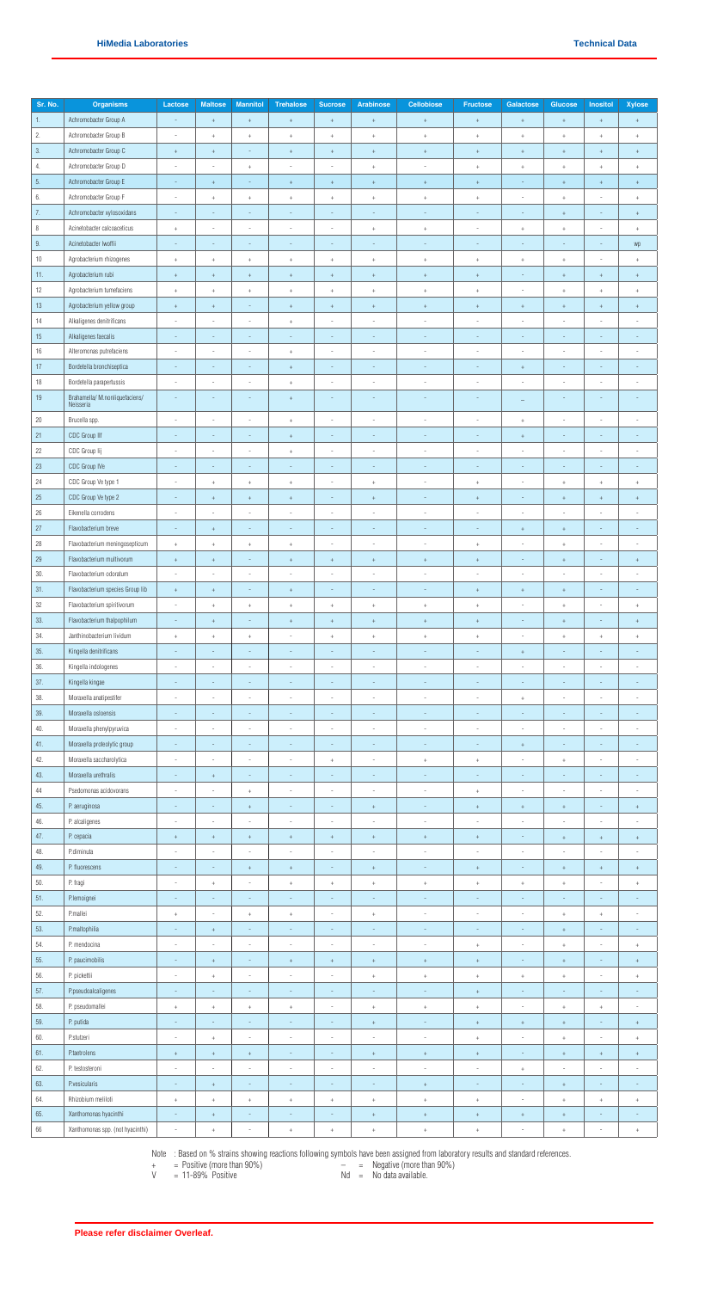| Sr. No. | <b>Organisms</b>                           | Lactose                  | <b>Maltose</b>                   | <b>Mannitol</b>                    | <b>Trehalose</b>                 | <b>Sucrose</b>               | <b>Arabinose</b>         | <b>Cellobiose</b>                | <b>Fructose</b>                  | Galactose                        | Glucose                          | Inositol                         | <b>Xylose</b>                    |
|---------|--------------------------------------------|--------------------------|----------------------------------|------------------------------------|----------------------------------|------------------------------|--------------------------|----------------------------------|----------------------------------|----------------------------------|----------------------------------|----------------------------------|----------------------------------|
| 1.      | Achromobacter Group A                      |                          | $\pm$                            | $\pm$                              | $+$                              | $\color{red}{+}$             | $\pm$                    | $\begin{array}{c} + \end{array}$ | $\begin{array}{c} + \end{array}$ | $^+$                             | $\begin{array}{c} + \end{array}$ | $\pm$                            | $\begin{array}{c} + \end{array}$ |
|         |                                            |                          |                                  |                                    |                                  |                              |                          |                                  |                                  |                                  |                                  |                                  |                                  |
| 2.      | Achromobacter Group B                      | $\overline{\phantom{a}}$ | $^{\mathrm{+}}$                  | $\! +$                             | $\begin{array}{c} + \end{array}$ | $\,$ +                       | $^+$                     | $^+$                             | $^+$                             | $^+$                             | $\pm$                            | $\!+$                            | $^+$                             |
| $3.$    | Achromobacter Group C                      | $\,$ + $\,$              | $^+$                             | $\sim$                             | $^+$                             | $^+$                         | $\pm$                    | $^+$                             | $^+$                             | $^+$                             | $^{\mathrm{+}}$                  | $\pm$                            | $^+$                             |
| 4.      | Achromobacter Group D                      | $\overline{\phantom{a}}$ | $\overline{\phantom{a}}$         | $^+$                               | $\overline{\phantom{a}}$         | $\overline{\phantom{a}}$     | $\pm$                    | ä,                               | $^+$                             | $^{\mathrm{+}}$                  | $^+$                             | $\!+$                            | $^+$                             |
| 5.      | Achromobacter Group E                      | $\sim$                   | $\pm$                            | $\overline{\phantom{a}}$           | $^+$                             | $^+$                         | $^+$                     | $^+$                             | $\begin{array}{c} + \end{array}$ | $\overline{\phantom{a}}$         | $\begin{array}{c} + \end{array}$ | $\pm$                            | $+$                              |
| 6.      | Achromobacter Group F                      | $\sim$                   | $+$                              | $\begin{array}{c} + \end{array}$   | $+$                              | $^+$                         | $^+$                     | $+$                              | $\begin{array}{c} + \end{array}$ | $\sim$                           | $^+$                             | $\overline{a}$                   | $^+$                             |
| 7.      | Achromobacter xylosoxidans                 | $\sim$                   | $\overline{\phantom{a}}$         | $\overline{\phantom{a}}$           | $\sim$                           | $\overline{\phantom{a}}$     | $\sim$                   | $\sim$                           | $\overline{\phantom{a}}$         | $\overline{\phantom{a}}$         | $^{\mathrm{+}}$                  | $\frac{1}{2}$                    | $\pm$                            |
| $\, 8$  | Acinetobacter calcoaceticus                | $\ddot{}$                | $\overline{\phantom{a}}$         | $\overline{\phantom{a}}$           | $\sim$                           | $\overline{a}$               | $^{\mathrm{+}}$          | $^+$                             | J.                               | $^+$                             | $\ddot{}$                        | $\overline{\phantom{0}}$         | $^+$                             |
| $9. \,$ | Acinetobacter Iwoffii                      | $\overline{\phantom{a}}$ | $\sim$                           | $\sim$                             | $\sim$                           | $\overline{\phantom{a}}$     | $\sim$                   | $\overline{\phantom{a}}$         | $\sim$                           | $\sim$                           | $\sim$                           | $\sim$                           | wp                               |
| $10\,$  | Agrobacterium rhizogenes                   | $^+$                     | $\begin{array}{c} + \end{array}$ | $^+$                               | $^+$                             | $^+$                         | $^+$                     | $^+$                             | $^+$                             | $^+$                             | $^+$                             | $\overline{\phantom{0}}$         | $^+$                             |
| 11.     | Agrobacterium rubi                         | $\pm$                    | $\pm$                            | $^+$                               | $^+$                             | $^{\mathrm{+}}$              | $\,$ +                   | $^+$                             | $^{\mathrm{+}}$                  | $\sim$                           | $\boldsymbol{+}$                 | $\pm$                            | $^+$                             |
| 12      | Agrobacterium tumefaciens                  |                          |                                  |                                    |                                  |                              |                          |                                  |                                  | $\sim$                           |                                  |                                  |                                  |
|         |                                            | $^+$                     | $\begin{array}{c} + \end{array}$ | $^+$                               | $\begin{array}{c} + \end{array}$ | $^{\mathrm{+}}$              | $^+$                     | $^+$                             | $\begin{array}{c} + \end{array}$ |                                  | $^+$                             | $^+$                             | $^+$                             |
| $13\,$  | Agrobacterium yellow group                 | $^{\mathrm{+}}$          | $\pm$                            | $\overline{\phantom{a}}$           | $^+$                             | $^+$                         | $^{\mathrm{+}}$          | $^+$                             | $\boldsymbol{+}$                 | $^+$                             | $^+$                             | $^+$                             | $^+$                             |
| 14      | Alkaligenes denitrificans                  | $\overline{\phantom{a}}$ | $\overline{\phantom{a}}$         | $\overline{\phantom{a}}$           | $\begin{array}{c} + \end{array}$ | $\overline{\phantom{a}}$     | $\overline{\phantom{a}}$ | $\overline{\phantom{a}}$         | $\overline{\phantom{a}}$         | $\overline{\phantom{a}}$         | $\overline{\phantom{a}}$         | $\frac{1}{2}$                    | $\overline{\phantom{a}}$         |
| $15\,$  | Alkaligenes faecalis                       |                          |                                  | $\overline{\phantom{a}}$           |                                  | $\overline{\phantom{m}}$     |                          |                                  |                                  |                                  |                                  | $\overline{\phantom{0}}$         | ÷                                |
| 16      | Alteromonas putrefaciens                   | $\overline{\phantom{a}}$ | $\blacksquare$                   | $\overline{\phantom{a}}$           | $^+$                             | $\overline{\phantom{a}}$     | $\overline{\phantom{a}}$ | $\overline{\phantom{a}}$         | $\overline{\phantom{a}}$         | $\overline{\phantom{a}}$         | $\overline{\phantom{a}}$         | $\overline{\phantom{m}}$         | $\overline{\phantom{a}}$         |
| 17      | Bordetella bronchiseptica                  | $\overline{\phantom{a}}$ | $\overline{\phantom{a}}$         | $\overline{\phantom{a}}$           | $^+$                             | $\overline{\phantom{a}}$     | $\overline{\phantom{a}}$ | $\sim$                           | $\overline{\phantom{a}}$         | $^+$                             | $\overline{\phantom{a}}$         | $\frac{1}{2}$                    | $\overline{\phantom{a}}$         |
| $18\,$  | Bordetella parapertussis                   | ×.                       | $\overline{\phantom{a}}$         | ×.                                 | $\begin{array}{c} + \end{array}$ | $\overline{\phantom{a}}$     | $\sim$                   | $\sim$                           | J.                               | ×.                               | J.                               | ٠                                | $\overline{a}$                   |
| 19      | Brahamella/M.nonliquefaciens/<br>Neisseria | $\sim$                   | $\overline{\phantom{a}}$         | $\overline{\phantom{a}}$           | $^+$                             | $\overline{\phantom{a}}$     | $\overline{\phantom{a}}$ | ÷,                               | ÷                                | $\equiv$                         | $\overline{\phantom{a}}$         | $\overline{\phantom{a}}$         | ÷,                               |
|         |                                            |                          |                                  |                                    |                                  |                              |                          |                                  |                                  |                                  |                                  |                                  |                                  |
| $20\,$  | Brucella spp.                              | $\sim$                   |                                  | ÷                                  | $^+$                             | i,                           | i,                       | í,                               | J,                               | $^{\mathrm{+}}$                  | i,                               | i,                               | i,                               |
| 21      | <b>CDC Group IIf</b>                       | $\overline{\phantom{a}}$ | $\sim$                           | $\sim$                             | $^+$                             | $\overline{\phantom{a}}$     | $\overline{\phantom{a}}$ | ÷,                               | $\overline{\phantom{a}}$         | $^{\mathrm{+}}$                  | $\overline{\phantom{a}}$         | $\sim$                           | $\overline{\phantom{a}}$         |
| 22      | CDC Group Iij                              |                          | $\blacksquare$                   | $\overline{\phantom{a}}$           | $^+$                             | $\overline{\phantom{a}}$     | $\overline{\phantom{a}}$ | ÷                                | i,                               |                                  | ł,                               | $\overline{\phantom{a}}$         | i,                               |
| $23\,$  | CDC Group IVe                              | $\sim$                   | $\sim$                           | $\overline{\phantom{a}}$           | $\overline{\phantom{a}}$         | $\overline{\phantom{a}}$     | $\sim$                   | $\sim$                           | $\overline{\phantom{a}}$         | $\overline{\phantom{a}}$         | $\overline{\phantom{a}}$         | $\overline{a}$                   | $\sim$                           |
| 24      | CDC Group Ve type 1                        | $\sim$                   | $^+$                             | $^+$                               | $\begin{array}{c} + \end{array}$ | $\overline{\phantom{a}}$     | $^{\mathrm{+}}$          | $\overline{\phantom{a}}$         | $^+$                             | $\overline{\phantom{a}}$         | $\ddot{}$                        | $\!+$                            | $\begin{array}{c} + \end{array}$ |
| $25\,$  | CDC Group Ve type 2                        | $\sim$                   | $\boldsymbol{+}$                 | $^+$                               | $^+$                             | $\qquad \qquad \blacksquare$ | $\!+$                    | ÷,                               | $\ddot{}$                        | $\overline{\phantom{a}}$         | $\ddot{}$                        | $\! +$                           | $\ddot{}$                        |
| $26\,$  | Eikenella corrodens                        | $\overline{\phantom{a}}$ | $\overline{\phantom{a}}$         | $\overline{\phantom{a}}$           | $\overline{\phantom{a}}$         | $\overline{\phantom{a}}$     | $\overline{\phantom{a}}$ | $\overline{\phantom{a}}$         | $\overline{\phantom{a}}$         | $\overline{\phantom{a}}$         | ÷                                | $\overline{\phantom{a}}$         | $\overline{\phantom{a}}$         |
| 27      | Flavobacterium breve                       | $\overline{\phantom{a}}$ | $\begin{array}{c} + \end{array}$ | $\overline{\phantom{a}}$           | $\overline{\phantom{a}}$         | ÷,                           | $\overline{\phantom{a}}$ | $\overline{\phantom{a}}$         | $\overline{\phantom{a}}$         | $+$                              | $^+$                             | $\overline{\phantom{a}}$         | $\overline{\phantom{a}}$         |
| 28      | Flavobacterium meningosepticum             | $\,$ +                   | $\begin{array}{c} + \end{array}$ | $^+$                               | $\begin{array}{c} + \end{array}$ | ä,                           | $\overline{\phantom{a}}$ | J,                               | $\pm$                            | $\sim$                           | $^{+}$                           | $\overline{\phantom{a}}$         | i,                               |
| 29      | Flavobacterium multivorum                  | $\,$ +                   | $\begin{array}{c} + \end{array}$ | $\overline{\phantom{a}}$           | $\begin{array}{c} + \end{array}$ | $^+$                         | $^{\mathrm{+}}$          | $^+$                             | $\pm$                            | $\overline{\phantom{a}}$         | $^+$                             | $\frac{1}{2}$                    | $\begin{array}{c} + \end{array}$ |
| 30.     | Flavobacterium odoratum                    |                          |                                  | $\sim$                             | $\overline{\phantom{a}}$         | i,                           |                          | J.                               | i,                               | $\overline{\phantom{a}}$         | J,                               | $\overline{a}$                   | ×,                               |
| 31.     |                                            |                          |                                  |                                    |                                  | $\overline{\phantom{a}}$     |                          |                                  |                                  |                                  |                                  |                                  |                                  |
|         | Flavobacterium species Group lib           | $\pm$                    | $\pm$                            |                                    | $^+$                             |                              | $\overline{\phantom{a}}$ |                                  | $^+$                             | $^{\mathrm{+}}$                  | $^{+}$                           | $\overline{\phantom{a}}$         | $\overline{\phantom{a}}$         |
| $32\,$  | Flavobacterium spiritivorum                |                          | $^+$                             | $^+$                               | $^+$                             | $^+$                         | $^+$                     | $^+$                             | $\ddot{}$                        |                                  | $\ddot{}$                        |                                  | $\ddot{}$                        |
| 33.     | Flavobacterium thalpophilum                | $\sim$                   | $^+$                             | $\overline{\phantom{a}}$           | $^+$                             | $^{\mathrm{+}}$              | $\pm$                    | $^+$                             | $^+$                             | $\overline{\phantom{a}}$         | $\begin{array}{c} + \end{array}$ | $\overline{\phantom{a}}$         | $^+$                             |
| 34.     | Janthinobacterium lividum                  | $\,$ +                   | $\begin{array}{c} + \end{array}$ | $\begin{array}{c} + \end{array}$   | $\sim$                           | $^+$                         | $^+$                     | $^+$                             | $+$                              | $\sim$                           | $^{+}$                           | $\begin{array}{c} + \end{array}$ | $+$                              |
| 35.     | Kingella denitrificans                     | $\sim$                   | $\sim$                           | $\sim$                             | $\sim$                           | $\overline{\phantom{a}}$     | $\sim$                   | $\sim$                           | $\overline{\phantom{a}}$         | $^+$                             | $\overline{\phantom{a}}$         | ÷.                               | $\sim$                           |
| 36.     | Kingella indologenes                       | $\overline{\phantom{a}}$ | $\overline{\phantom{a}}$         | $\overline{\phantom{a}}$           | $\overline{\phantom{a}}$         | $\frac{1}{2}$                | $\overline{\phantom{a}}$ | $\overline{\phantom{a}}$         | ×,                               | $\overline{\phantom{a}}$         | ł,                               | $\overline{\phantom{a}}$         | $\overline{\phantom{a}}$         |
| 37.     | Kingella kingae                            | $\overline{\phantom{a}}$ | $\overline{\phantom{a}}$         | $\overline{\phantom{a}}$           | $\overline{\phantom{a}}$         | ÷,                           | $\overline{\phantom{a}}$ | ÷,                               | $\overline{\phantom{a}}$         | $\overline{\phantom{a}}$         | $\overline{\phantom{a}}$         | $\frac{1}{2}$                    | $\overline{\phantom{a}}$         |
| 38.     | Moraxella anatipestifer                    | $\overline{\phantom{a}}$ | $\overline{\phantom{a}}$         | $\sim$                             | $\sim$                           | $\overline{\phantom{a}}$     | $\overline{\phantom{a}}$ | $\sim$                           | $\sim$                           | $\begin{array}{c} + \end{array}$ | J,                               | $\overline{a}$                   | $\overline{\phantom{a}}$         |
| 39.     | Moraxella osloensis                        |                          | $\overline{\phantom{a}}$         | $\sim$                             | $\overline{\phantom{a}}$         | $\frac{1}{2}$                | $\overline{\phantom{a}}$ | ÷,                               | ÷                                |                                  | $\overline{\phantom{a}}$         | $\overline{a}$                   | $\overline{\phantom{a}}$         |
| 40.     | Moraxella phenylpyruvica                   | $\sim$                   | $\overline{\phantom{a}}$         | $\sim$                             | $\sim$                           | $\overline{a}$               | $\overline{\phantom{a}}$ | $\overline{\phantom{a}}$         | ÷                                | $\sim$                           | ×,                               | ٠                                | $\overline{\phantom{a}}$         |
| 41.     | Moraxella proteolytic group                | $\overline{\phantom{a}}$ | $\overline{\phantom{a}}$         | $\overline{\phantom{a}}$           | $\overline{\phantom{a}}$         | $\overline{\phantom{a}}$     | $\overline{\phantom{a}}$ | $\overline{\phantom{a}}$         | $\overline{\phantom{a}}$         | $^{\mathrm{+}}$                  | $\overline{\phantom{a}}$         | $\frac{1}{2}$                    | $\overline{\phantom{a}}$         |
| 42.     | Moraxella saccharolytica                   | ×,                       | $\overline{\phantom{a}}$         | $\sim$                             | $\sim$                           | $^{\mathrm{+}}$              | $\overline{\phantom{a}}$ | $^+$                             | $\ddot{}$                        | ×,                               | $\ddot{}$                        |                                  | ä,                               |
| 43.     | Moraxella urethralis                       | $\overline{\phantom{a}}$ | $^+$                             | $\sim$                             | $\overline{\phantom{a}}$         | $\overline{\phantom{a}}$     | $\sim$                   | $\overline{\phantom{a}}$         | $\overline{\phantom{a}}$         | $\sim$                           | $\overline{\phantom{a}}$         | $\overline{\phantom{a}}$         | $\overline{\phantom{a}}$         |
| 44      | Psedomonas acidovorans                     | $\sim$                   |                                  | $^+$                               | $\overline{\phantom{a}}$         | i,                           | $\sim$                   | J.                               | $^+$                             | $\overline{\phantom{a}}$         | i,                               | ä,                               | ä,                               |
| 45.     | P. aeruginosa                              | $\sim$                   | $\sim$                           |                                    | $\overline{\phantom{a}}$         | $\overline{\phantom{a}}$     |                          | $\sim$                           |                                  |                                  |                                  | $\sim$                           |                                  |
|         |                                            | ×,                       | $\overline{\phantom{a}}$         | $\, +$<br>$\overline{\phantom{a}}$ | $\overline{\phantom{a}}$         | $\overline{a}$               | $\pm$<br>٠               | $\overline{\phantom{a}}$         | $^{\mathrm{+}}$<br>J.            | $^+$<br>$\sim$                   | $\boldsymbol{+}$<br>J,           | $\overline{a}$                   | $^+$<br>ä,                       |
| 46.     | P. alcaligenes                             |                          |                                  |                                    |                                  |                              |                          |                                  |                                  |                                  |                                  |                                  |                                  |
| 47.     | P. cepacia                                 | $^{\mathrm{+}}$          | $^+$                             | $^{\mathrm{+}}$                    | $^+$                             | $^+$                         | $^{\mathrm{+}}$          | $^+$                             | $^+$                             | $\overline{\phantom{a}}$         | $^{\mathrm{+}}$                  | $^+$                             | $^+$                             |
| 48.     | P.diminuta                                 | $\overline{\phantom{a}}$ | $\overline{\phantom{a}}$         | $\overline{\phantom{a}}$           | $\overline{\phantom{a}}$         | $\overline{\phantom{a}}$     | $\overline{\phantom{a}}$ | $\overline{\phantom{a}}$         | $\overline{\phantom{a}}$         | $\overline{\phantom{a}}$         | $\overline{\phantom{a}}$         | $\overline{\phantom{m}}$         | $\overline{\phantom{a}}$         |
| 49.     | P. fluorescens                             |                          |                                  | $^+$                               | $^+$                             | ÷,                           | $\boldsymbol{+}$         |                                  | $\! +$                           |                                  | $\ddot{}$                        | $\boldsymbol{+}$                 | $\! + \!$                        |
| 50.     | P. fragi                                   | $\overline{\phantom{a}}$ | $\begin{array}{c} + \end{array}$ | $\overline{\phantom{a}}$           | $^+$                             | $^+$                         | $^+$                     | $^+$                             | $^+$                             | $^+$                             | $^+$                             | $\overline{\phantom{m}}$         | $\begin{array}{c} + \end{array}$ |
| 51.     | P.lemoignei                                | $\overline{\phantom{a}}$ | $\overline{\phantom{a}}$         | $\overline{\phantom{a}}$           | $\overline{\phantom{a}}$         | $\overline{\phantom{a}}$     | $\overline{\phantom{a}}$ | $\overline{\phantom{a}}$         | $\sim$                           | $\overline{\phantom{a}}$         | $\overline{\phantom{a}}$         | $\overline{\phantom{m}}$         | $\overline{\phantom{a}}$         |
| 52.     | P.mallei                                   | $\,$ +                   | $\overline{\phantom{a}}$         | $^+$                               | $^+$                             | $\overline{\phantom{a}}$     | $^+$                     | $\sim$                           | ÷,                               | $\sim$                           | $^{+}$                           | $\color{red}{+}$                 | $\overline{\phantom{a}}$         |
| 53.     | P.maltophilia                              | $\overline{\phantom{a}}$ | $^+$                             | $\sim$                             | $\sim$                           | $\sim$                       | $\sim$                   | $\overline{\phantom{a}}$         | $\overline{\phantom{a}}$         | $\overline{\phantom{a}}$         | $^{\mathrm{+}}$                  | $\sim$                           | $\sim$                           |
| 54.     | P. mendocina                               |                          |                                  | i,                                 |                                  |                              |                          |                                  | $\ddot{}$                        |                                  | $^+$                             |                                  | $^+$                             |
| 55.     | P. paucimobilis                            | $\sim$                   | $\pm$                            | $\sim$                             | $^+$                             | $^{\mathrm{+}}$              | $\pm$                    | $^+$                             | $\pm$                            | $\overline{\phantom{a}}$         | $\boldsymbol{+}$                 | $\sim$                           | $^+$                             |
| 56.     | P. pickettii                               | $\overline{\phantom{a}}$ | $\begin{array}{c} + \end{array}$ | $\overline{\phantom{a}}$           | $\overline{\phantom{a}}$         | $\qquad \qquad \blacksquare$ | $^+$                     | $^+$                             | $^+$                             | $^+$                             | $^+$                             | $\overline{\phantom{m}}$         | $\begin{array}{c} + \end{array}$ |
| 57.     | P.pseudoalcaligenes                        | $\sim$                   | $\overline{\phantom{a}}$         | $\overline{\phantom{a}}$           | $\overline{\phantom{a}}$         | $\overline{\phantom{a}}$     | $\sim$                   | $\sim$                           |                                  | $\overline{\phantom{a}}$         | $\overline{\phantom{a}}$         | $\overline{\phantom{0}}$         | $\overline{\phantom{a}}$         |
|         |                                            |                          |                                  |                                    |                                  |                              |                          |                                  | $^+$                             |                                  |                                  |                                  |                                  |
| 58.     | P. pseudomallei                            | $\,$ +                   | $\pm$                            | $^+$                               | $\begin{array}{c} + \end{array}$ | $\overline{\phantom{a}}$     | $\pm$                    | $^+$                             | $\! +$                           | $\overline{\phantom{a}}$         | $^+$                             | $\! +$                           | $\overline{\phantom{a}}$         |
| 59.     | P. putida                                  |                          |                                  | $\overline{\phantom{a}}$           | $\overline{\phantom{a}}$         | $\overline{\phantom{a}}$     | $\boldsymbol{+}$         | ÷,                               | $\! +$                           | $^{\mathrm{+}}$                  | $\ddot{}$                        | $\overline{\phantom{0}}$         | $\! + \!$                        |
| 60.     | <b>P.stutzeri</b>                          | $\overline{\phantom{a}}$ | $^+$                             | $\overline{\phantom{a}}$           | $\overline{\phantom{a}}$         | $\overline{\phantom{a}}$     | $\overline{\phantom{a}}$ | $\overline{\phantom{a}}$         | $^+$                             | $\overline{\phantom{a}}$         | $^+$                             | $\overline{\phantom{a}}$         | $^+$                             |
| 61.     | <b>P</b> .taetrolens                       | $^{\mathrm{+}}$          | $\begin{array}{c} + \end{array}$ | $^+$                               | $\overline{\phantom{a}}$         | $\overline{\phantom{a}}$     | $^+$                     | $^+$                             | $^+$                             | $\overline{\phantom{a}}$         | $^{+}$                           | $\pm$                            | $\begin{array}{c} + \end{array}$ |
| 62.     | P. testosteroni                            | ×,                       | $\overline{\phantom{a}}$         | $\sim$                             | $\sim$                           | $\overline{a}$               | $\overline{\phantom{a}}$ | ×.                               | ÷                                | $\begin{array}{c} + \end{array}$ | J,                               | ٠                                | $\overline{\phantom{a}}$         |
| 63.     | P.vesicularis                              | $\sim$                   | $\begin{array}{c} + \end{array}$ | $\overline{\phantom{a}}$           | $\overline{\phantom{a}}$         | $\qquad \qquad \blacksquare$ | $\overline{\phantom{a}}$ | $^+$                             | $\overline{\phantom{a}}$         | $\overline{\phantom{a}}$         | $^+$                             | $\overline{\phantom{a}}$         | $\overline{\phantom{a}}$         |
| 64      | Rhizobium meliloti                         |                          |                                  | $\ddot{}$                          |                                  |                              |                          |                                  |                                  |                                  |                                  |                                  |                                  |
| 65.     | Xanthomonas hyacinthi                      | $\sim$                   | $^+$                             | $\sim$                             | $\overline{\phantom{a}}$         | $\overline{\phantom{a}}$     | $\pm$                    | $^+$                             | $^+$                             | $^+$                             | $\pm$                            | $\sim$                           | $\sim$                           |
| $66\,$  | Xanthomonas spp. (not hyacinthi)           |                          | $^+$                             |                                    | $\ddot{}$                        | $^+$                         | $\pm$                    | $^+$                             | $\ddot{}$                        |                                  | $\ddot{}$                        |                                  | $^+$                             |

- + = Positive (more than 90%) = Negative (more than 90%)
	-
- $V = 11-89\%$  Positive  $Nd = No$  data available.
- 

Note : Based on % strains showing reactions following symbols have been assigned from laboratory results and standard references.

**Please refer disclaimer Overleaf.**